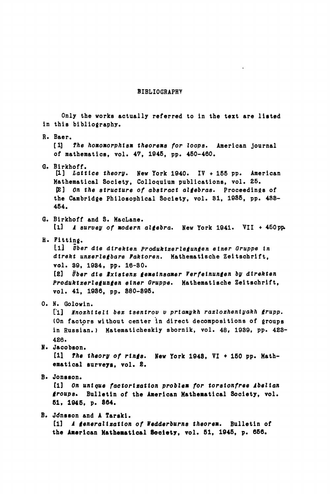## BIBLIOGRAPHY

Only the works actually referred to in the text are listed in this bibliography. R. Baer. [1] The homomorphism theorems for loops. American journal of mathematics, vol. 47, 1945, pp. 450-460. G. Birkhoff. [1] Lattice theory. New York 1940. IV + 155 pp. American Mathematical Society, Colloquium publications, vol. 25. OB] On the structure of abstract algebras. Proceedings of the Cambridge Philosophical Society, vol. 31, 1935, pp. 488- 454. G. Birkhoff and S. MacLane. til A survey of modern algebra. New York 1941. VII + 450pp. H. Fitting. Ill Uber die dlrekten Produktzerlegungen elner Gruppe In direkt unzerlegbare Faktoren. Mathematische Zeitschrift, vol. 39, 1934, pp. 16-30. [2] Über die Existenz gemeinsamer Verfeinungen by direkten Produktzerlegungen einer Gruppe. Mathematische Zeitschrift, vol. 41, 1936, pp. 380-395. 0. N. Golowin. [1] Mnozhiteli bez tsentrov v priamykh razlozheniyakh grupp. (On factors without center in direct decompositions of groups in Russian.) Matematicheskiy sbornik, vol. 48, 1939, pp. 423- 426. N. Jacobson. [11 The theory of rings. New York 1943, VI + 150 pp. Mathematical surveys, vol. 2. B- Jonsson. [1] On unique factorization problem for torsionfree Abelian groups. Bulletin of the American Mathematical Society, vol. 61, 1945, p. 364. B. Jdnsson and A Tarski. [1] A generalization of Wedderburns theorem. Bulletin of the American Mathematical **Society,** vol. 51, 1945, p. 656.